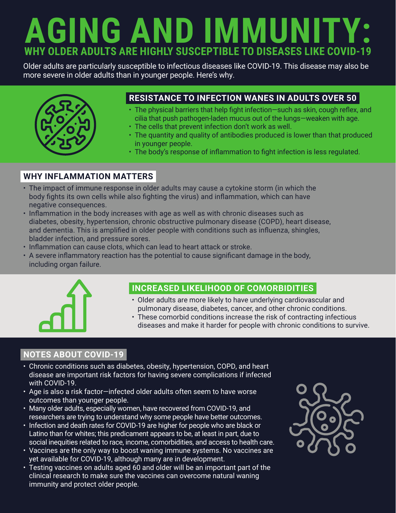## **AGING AND IMMUNITY: WHY OLDER ADULTS ARE HIGHLY SUSCEPTIBLE TO DISEASES LIKE COVID-19**

Older adults are particularly susceptible to infectious diseases like COVID-19. This disease may also be more severe in older adults than in younger people. Here's why.



### **RESISTANCE TO INFECTION WANES IN ADULTS OVER 50**

- The physical barriers that help fight infection—such as skin, cough reflex, and cilia that push pathogen-laden mucus out of the lungs—weaken with age.
- The cells that prevent infection don't work as well.
- The quantity and quality of antibodies produced is lower than that produced in younger people.
- The body's response of inflammation to fight infection is less regulated.

#### **WHY INFLAMMATION MATTERS**

- The impact of immune response in older adults may cause a cytokine storm (in which the body fights its own cells while also fighting the virus) and inflammation, which can have negative consequences.
- Inflammation in the body increases with age as well as with chronic diseases such as diabetes, obesity, hypertension, chronic obstructive pulmonary disease (COPD), heart disease, and dementia. This is amplified in older people with conditions such as influenza, shingles, bladder infection, and pressure sores.
- Inflammation can cause clots, which can lead to heart attack or stroke.
- A severe inflammatory reaction has the potential to cause significant damage in the body, including organ failure.



#### **INCREASED LIKELIHOOD OF COMORBIDITIES**

- Older adults are more likely to have underlying cardiovascular and pulmonary disease, diabetes, cancer, and other chronic conditions.
- These comorbid conditions increase the risk of contracting infectious diseases and make it harder for people with chronic conditions to survive.

#### **NOTES ABOUT COVID-19**

- Chronic conditions such as diabetes, obesity, hypertension, COPD, and heart disease are important risk factors for having severe complications if infected with COVID-19.
- Age is also a risk factor—infected older adults often seem to have worse outcomes than younger people.
- Many older adults, especially women, have recovered from COVID-19, and researchers are trying to understand why some people have better outcomes.
- Infection and death rates for COVID-19 are higher for people who are black or Latino than for whites; this predicament appears to be, at least in part, due to social inequities related to race, income, comorbidities, and access to health care.
- Vaccines are the only way to boost waning immune systems. No vaccines are yet available for COVID-19, although many are in development.
- Testing vaccines on adults aged 60 and older will be an important part of the clinical research to make sure the vaccines can overcome natural waning immunity and protect older people.

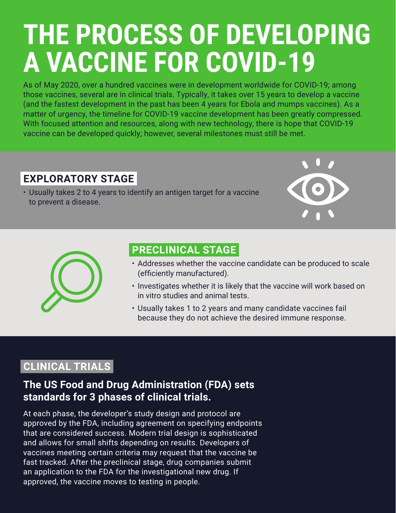# **THE PROCESS OF DEVELOPING A VACCINE FOR COVID-19**

As of May 2020, over a hundred vaccines were in development worldwide for COVID-19; among those vaccines, several are in clinical trials. Typically, it takes over 15 years to develop a vaccine (and the fastest development in the past has been 4 years for Ebola and mumps vaccines). As a matter of urgency, the timeline for COVID-19 vaccine development has been greatly compressed. With focused attention and resources, along with new technology, there is hope that COVID-19 vaccine can be developed quickly; however, several milestones must still be met.

## **EXPLORATORY STAGE**

• Usually takes 2 to 4 years to identify an antigen target for a vaccine to prevent a disease.





## **PRECLINICAL STAGE**

- Addresses whether the vaccine candidate can be produced to scale (efficiently manufactured).
- Investigates whether it is likely that the vaccine will work based on in vitro studies and animal tests.
- Usually takes 1 to 2 years and many candidate vaccines fail because they do not achieve the desired immune response.

## **CLINICAL TRIALS**

## **The US Food and Drug Administration (FDA) sets standards for 3 phases of clinical trials.**

At each phase, the developer's study design and protocol are approved by the FDA, including agreement on specifying endpoints that are considered success. Modern trial design is sophisticated and allows for small shifts depending on results. Developers of vaccines meeting certain criteria may request that the vaccine be fast tracked. After the preclinical stage, drug companies submit an application to the FDA for the investigational new drug. If approved, the vaccine moves to testing in people.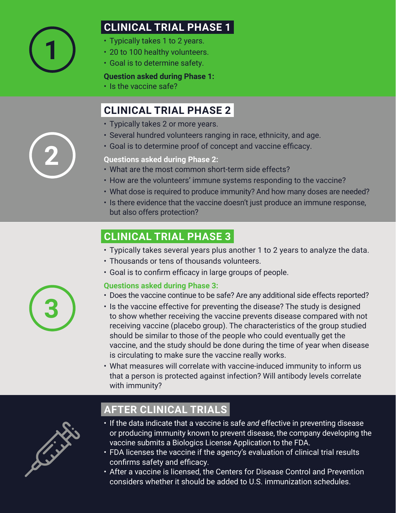

## **CLINICAL TRIAL PHASE 1**

- Typically takes 1 to 2 years.
- 20 to 100 healthy volunteers.
- Goal is to determine safety.

#### **Question asked during Phase 1:**

• Is the vaccine safe?

## **CLINICAL TRIAL PHASE 2**

- Typically takes 2 or more years.
- Several hundred volunteers ranging in race, ethnicity, and age.
- Goal is to determine proof of concept and vaccine efficacy.

**Questions asked during Phase 2:**

- What are the most common short-term side effects?
- How are the volunteers' immune systems responding to the vaccine?
- What dose is required to produce immunity? And how many doses are needed?
- Is there evidence that the vaccine doesn't just produce an immune response, but also offers protection?

## **CLINICAL TRIAL PHASE 3**

- Typically takes several years plus another 1 to 2 years to analyze the data.
- Thousands or tens of thousands volunteers.
- Goal is to confirm efficacy in large groups of people.

#### **Questions asked during Phase 3:**

- Does the vaccine continue to be safe? Are any additional side effects reported?
- Is the vaccine effective for preventing the disease? The study is designed to show whether receiving the vaccine prevents disease compared with not receiving vaccine (placebo group). The characteristics of the group studied should be similar to those of the people who could eventually get the vaccine, and the study should be done during the time of year when disease is circulating to make sure the vaccine really works.
- What measures will correlate with vaccine-induced immunity to inform us that a person is protected against infection? Will antibody levels correlate with immunity?



## **AFTER CLINICAL TRIALS**

- If the data indicate that a vaccine is safe *and* effective in preventing disease or producing immunity known to prevent disease, the company developing the vaccine submits a Biologics License Application to the FDA.
- FDA licenses the vaccine if the agency's evaluation of clinical trial results confirms safety and efficacy.
- After a vaccine is licensed, the Centers for Disease Control and Prevention considers whether it should be added to U.S. immunization schedules.